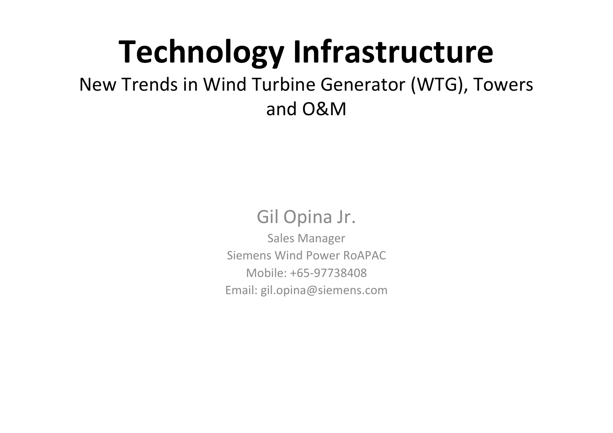# **Technology Infrastructure**

### New Trends in Wind Turbine Generator (WTG), Towers and O&M

### Gil Opina Jr.

Sales Manager Siemens Wind Power RoAPACMobile: +65‐97738408Email: gil.opina@siemens.com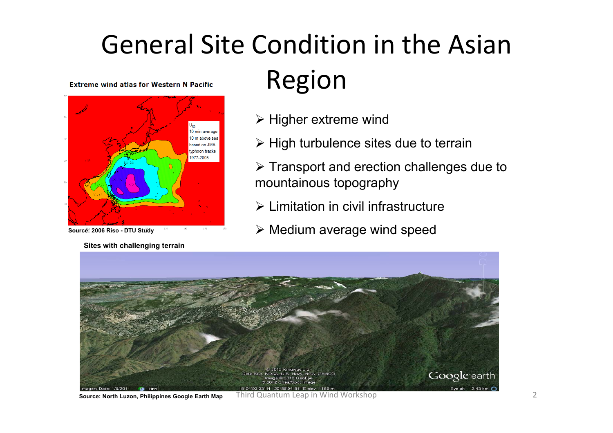### General Site Condition in the Asian **Extreme wind atlas for Western N Pacific**



#### **Source: 2006 Riso - DTU Study**

**Sites with challenging terrain**

### Region

- $\triangleright$  Higher extreme wind
- $\triangleright$  High turbulence sites due to terrain
- $\triangleright$  Transport and erection challenges due to mountainous topography
- $\triangleright$  Limitation in civil infrastructure
- $\triangleright$  Medium average wind speed



**Source: North Luzon, Philippines Google Earth Map**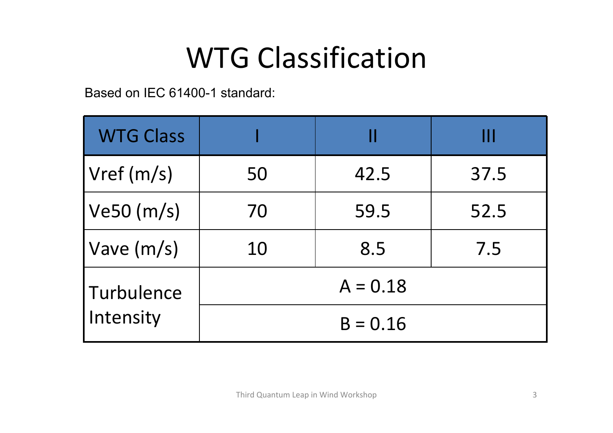# WTG Classification

Based on IEC 61400-1 standard:

| <b>WTG Class</b>          |            |      | Ш    |
|---------------------------|------------|------|------|
| Vref (m/s)                | 50         | 42.5 | 37.5 |
| Ve50 (m/s)                | 70         | 59.5 | 52.5 |
| $\sqrt{\frac{Vave(m/s)}}$ | 10         | 8.5  | 7.5  |
| Turbulence<br>Intensity   | $A = 0.18$ |      |      |
|                           | $B = 0.16$ |      |      |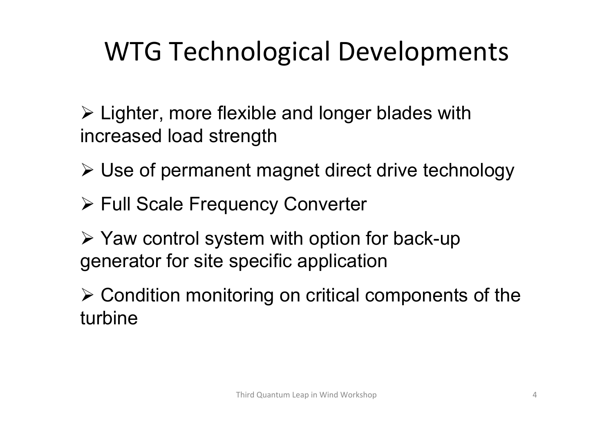## WTG Technological Developments

 Lighter, more flexible and longer blades with increased load strength

- Use of permanent magnet direct drive technology
- Full Scale Frequency Converter
- $\triangleright$  Yaw control system with option for back-up generator for site specific application
- Condition monitoring on critical components of the turbine